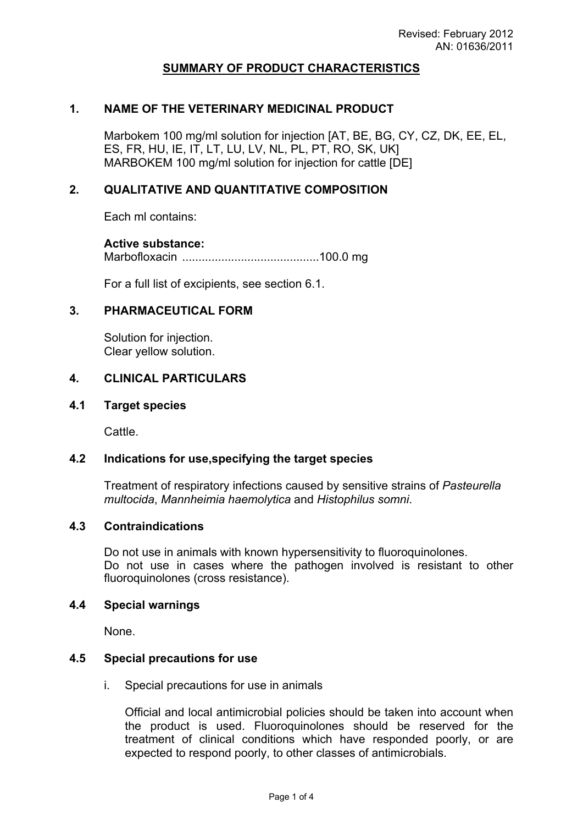### **SUMMARY OF PRODUCT CHARACTERISTICS**

### **1. NAME OF THE VETERINARY MEDICINAL PRODUCT**

Marbokem 100 mg/ml solution for injection [AT, BE, BG, CY, CZ, DK, EE, EL, ES, FR, HU, IE, IT, LT, LU, LV, NL, PL, PT, RO, SK, UK] MARBOKEM 100 mg/ml solution for injection for cattle [DE]

### **2. QUALITATIVE AND QUANTITATIVE COMPOSITION**

Each ml contains:

### **Active substance:**

Marbofloxacin ..........................................100.0 mg

For a full list of excipients, see section 6.1.

### **3. PHARMACEUTICAL FORM**

Solution for injection. Clear yellow solution.

### **4. CLINICAL PARTICULARS**

#### **4.1 Target species**

Cattle.

### **4.2 Indications for use,specifying the target species**

Treatment of respiratory infections caused by sensitive strains of *Pasteurella multocida*, *Mannheimia haemolytica* and *Histophilus somni*.

#### **4.3 Contraindications**

Do not use in animals with known hypersensitivity to fluoroquinolones. Do not use in cases where the pathogen involved is resistant to other fluoroquinolones (cross resistance).

#### **4.4 Special warnings**

None.

#### **4.5 Special precautions for use**

i. Special precautions for use in animals

Official and local antimicrobial policies should be taken into account when the product is used. Fluoroquinolones should be reserved for the treatment of clinical conditions which have responded poorly, or are expected to respond poorly, to other classes of antimicrobials.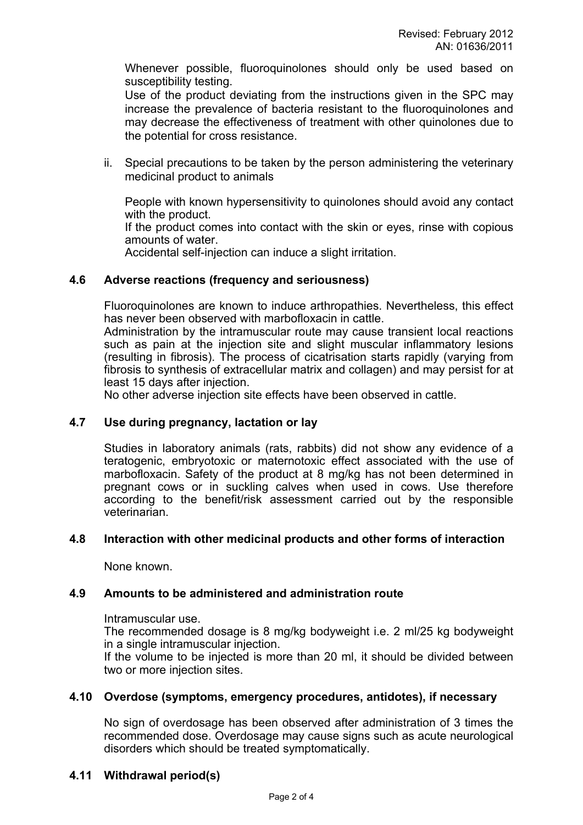Whenever possible, fluoroquinolones should only be used based on susceptibility testing.

Use of the product deviating from the instructions given in the SPC may increase the prevalence of bacteria resistant to the fluoroquinolones and may decrease the effectiveness of treatment with other quinolones due to the potential for cross resistance.

ii. Special precautions to be taken by the person administering the veterinary medicinal product to animals

People with known hypersensitivity to quinolones should avoid any contact with the product.

If the product comes into contact with the skin or eyes, rinse with copious amounts of water.

Accidental self-injection can induce a slight irritation.

# **4.6 Adverse reactions (frequency and seriousness)**

Fluoroquinolones are known to induce arthropathies. Nevertheless, this effect has never been observed with marbofloxacin in cattle.

Administration by the intramuscular route may cause transient local reactions such as pain at the injection site and slight muscular inflammatory lesions (resulting in fibrosis). The process of cicatrisation starts rapidly (varying from fibrosis to synthesis of extracellular matrix and collagen) and may persist for at least 15 days after injection.

No other adverse injection site effects have been observed in cattle.

# **4.7 Use during pregnancy, lactation or lay**

Studies in laboratory animals (rats, rabbits) did not show any evidence of a teratogenic, embryotoxic or maternotoxic effect associated with the use of marbofloxacin. Safety of the product at 8 mg/kg has not been determined in pregnant cows or in suckling calves when used in cows. Use therefore according to the benefit/risk assessment carried out by the responsible veterinarian.

### **4.8 Interaction with other medicinal products and other forms of interaction**

None known.

# **4.9 Amounts to be administered and administration route**

Intramuscular use.

The recommended dosage is 8 mg/kg bodyweight i.e. 2 ml/25 kg bodyweight in a single intramuscular injection.

If the volume to be injected is more than 20 ml, it should be divided between two or more injection sites.

### **4.10 Overdose (symptoms, emergency procedures, antidotes), if necessary**

No sign of overdosage has been observed after administration of 3 times the recommended dose. Overdosage may cause signs such as acute neurological disorders which should be treated symptomatically.

# **4.11 Withdrawal period(s)**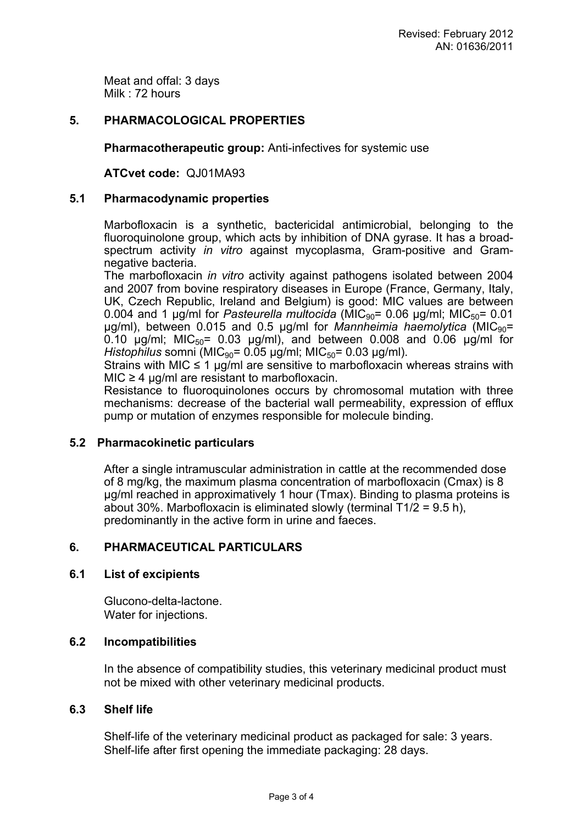Meat and offal: 3 days Milk : 72 hours

# **5. PHARMACOLOGICAL PROPERTIES**

**Pharmacotherapeutic group:** Anti-infectives for systemic use

**ATCvet code:** QJ01MA93

### **5.1 Pharmacodynamic properties**

Marbofloxacin is a synthetic, bactericidal antimicrobial, belonging to the fluoroquinolone group, which acts by inhibition of DNA gyrase. It has a broadspectrum activity *in vitro* against mycoplasma, Gram-positive and Gramnegative bacteria.

The marbofloxacin *in vitro* activity against pathogens isolated between 2004 and 2007 from bovine respiratory diseases in Europe (France, Germany, Italy, UK, Czech Republic, Ireland and Belgium) is good: MIC values are between 0.004 and 1  $\mu$ g/ml for *Pasteurella multocida* (MIC<sub>90</sub>= 0.06  $\mu$ g/ml; MIC<sub>50</sub>= 0.01  $\mu$ g/ml), between 0.015 and 0.5  $\mu$ g/ml for *Mannheimia haemolytica* (MIC<sub>90</sub>= 0.10  $\mu$ g/ml; MIC<sub>50</sub>= 0.03  $\mu$ g/ml), and between 0.008 and 0.06  $\mu$ g/ml for *Histophilus* somni (MIC<sub>90</sub>= 0.05 µg/ml; MIC<sub>50</sub>= 0.03 µg/ml).

Strains with MIC  $\leq$  1 ug/ml are sensitive to marbofloxacin whereas strains with  $MIC \geq 4$  µg/ml are resistant to marbofloxacin.

Resistance to fluoroquinolones occurs by chromosomal mutation with three mechanisms: decrease of the bacterial wall permeability, expression of efflux pump or mutation of enzymes responsible for molecule binding.

### **5.2 Pharmacokinetic particulars**

After a single intramuscular administration in cattle at the recommended dose of 8 mg/kg, the maximum plasma concentration of marbofloxacin (Cmax) is 8 µg/ml reached in approximatively 1 hour (Tmax). Binding to plasma proteins is about 30%. Marbofloxacin is eliminated slowly (terminal T1/2 = 9.5 h), predominantly in the active form in urine and faeces.

# **6. PHARMACEUTICAL PARTICULARS**

### **6.1 List of excipients**

Glucono-delta-lactone. Water for injections.

# **6.2 Incompatibilities**

In the absence of compatibility studies, this veterinary medicinal product must not be mixed with other veterinary medicinal products.

# **6.3 Shelf life**

Shelf-life of the veterinary medicinal product as packaged for sale: 3 years. Shelf-life after first opening the immediate packaging: 28 days.